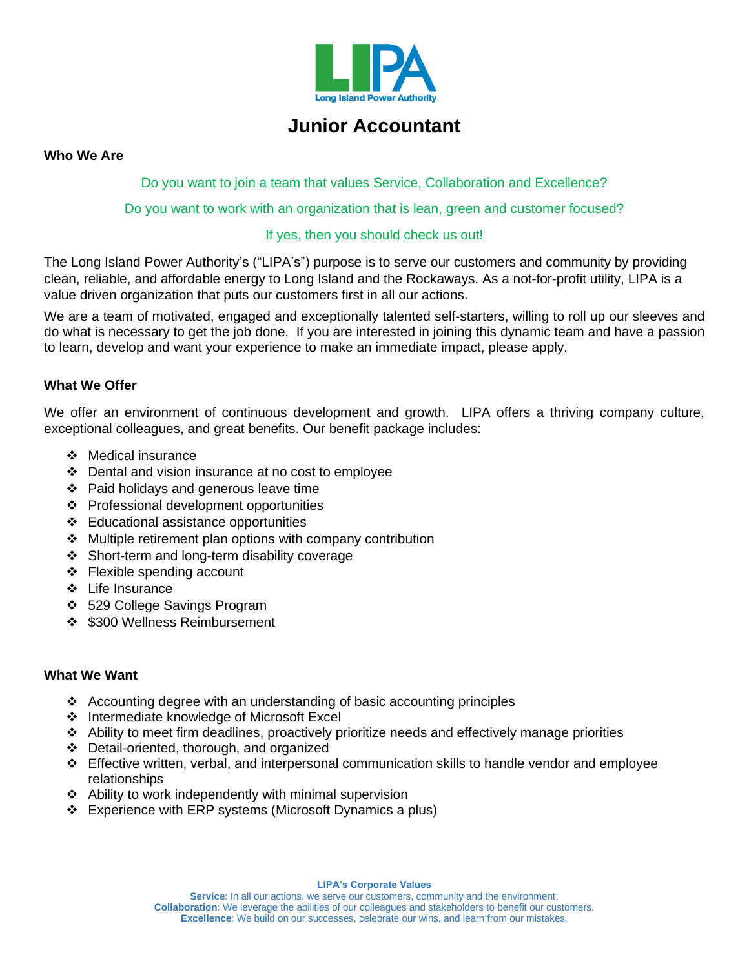

# **Junior Accountant**

#### **Who We Are**

Do you want to join a team that values Service, Collaboration and Excellence?

Do you want to work with an organization that is lean, green and customer focused?

## If yes, then you should check us out!

The Long Island Power Authority's ("LIPA's") purpose is to serve our customers and community by providing clean, reliable, and affordable energy to Long Island and the Rockaways. As a not-for-profit utility, LIPA is a value driven organization that puts our customers first in all our actions.

We are a team of motivated, engaged and exceptionally talented self-starters, willing to roll up our sleeves and do what is necessary to get the job done. If you are interested in joining this dynamic team and have a passion to learn, develop and want your experience to make an immediate impact, please apply.

# **What We Offer**

We offer an environment of continuous development and growth. LIPA offers a thriving company culture, exceptional colleagues, and great benefits. Our benefit package includes:

- ❖ Medical insurance
- ❖ Dental and vision insurance at no cost to employee
- ❖ Paid holidays and generous leave time
- ❖ Professional development opportunities
- ❖ Educational assistance opportunities
- ❖ Multiple retirement plan options with company contribution
- ❖ Short-term and long-term disability coverage
- ❖ Flexible spending account
- ❖ Life Insurance
- ❖ 529 College Savings Program
- ❖ \$300 Wellness Reimbursement

#### **What We Want**

- ❖ Accounting degree with an understanding of basic accounting principles
- ❖ Intermediate knowledge of Microsoft Excel
- ❖ Ability to meet firm deadlines, proactively prioritize needs and effectively manage priorities
- ❖ Detail-oriented, thorough, and organized
- ❖ Effective written, verbal, and interpersonal communication skills to handle vendor and employee relationships
- ❖ Ability to work independently with minimal supervision
- ❖ Experience with ERP systems (Microsoft Dynamics a plus)

**LIPA's Corporate Values**